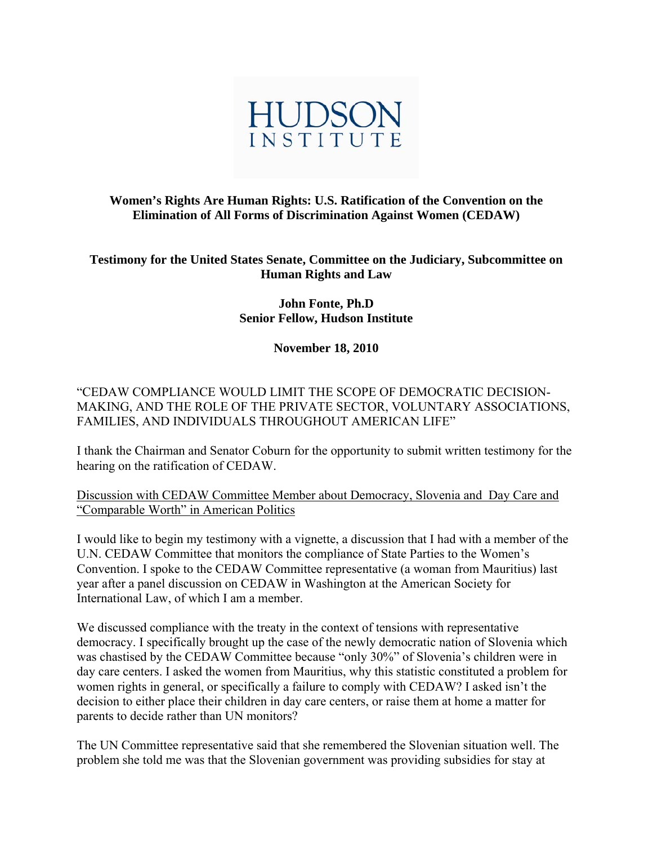

## **Women's Rights Are Human Rights: U.S. Ratification of the Convention on the Elimination of All Forms of Discrimination Against Women (CEDAW)**

**Testimony for the United States Senate, Committee on the Judiciary, Subcommittee on Human Rights and Law** 

### **John Fonte, Ph.D Senior Fellow, Hudson Institute**

**November 18, 2010** 

## "CEDAW COMPLIANCE WOULD LIMIT THE SCOPE OF DEMOCRATIC DECISION-MAKING, AND THE ROLE OF THE PRIVATE SECTOR, VOLUNTARY ASSOCIATIONS, FAMILIES, AND INDIVIDUALS THROUGHOUT AMERICAN LIFE"

I thank the Chairman and Senator Coburn for the opportunity to submit written testimony for the hearing on the ratification of CEDAW.

Discussion with CEDAW Committee Member about Democracy, Slovenia and Day Care and "Comparable Worth" in American Politics

I would like to begin my testimony with a vignette, a discussion that I had with a member of the U.N. CEDAW Committee that monitors the compliance of State Parties to the Women's Convention. I spoke to the CEDAW Committee representative (a woman from Mauritius) last year after a panel discussion on CEDAW in Washington at the American Society for International Law, of which I am a member.

We discussed compliance with the treaty in the context of tensions with representative democracy. I specifically brought up the case of the newly democratic nation of Slovenia which was chastised by the CEDAW Committee because "only 30%" of Slovenia's children were in day care centers. I asked the women from Mauritius, why this statistic constituted a problem for women rights in general, or specifically a failure to comply with CEDAW? I asked isn't the decision to either place their children in day care centers, or raise them at home a matter for parents to decide rather than UN monitors?

The UN Committee representative said that she remembered the Slovenian situation well. The problem she told me was that the Slovenian government was providing subsidies for stay at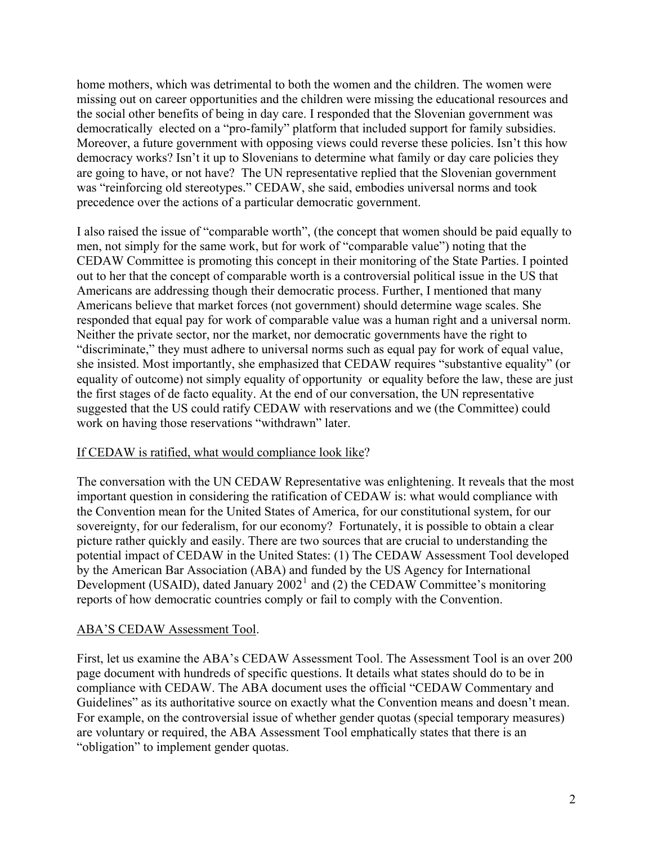home mothers, which was detrimental to both the women and the children. The women were missing out on career opportunities and the children were missing the educational resources and the social other benefits of being in day care. I responded that the Slovenian government was democratically elected on a "pro-family" platform that included support for family subsidies. Moreover, a future government with opposing views could reverse these policies. Isn't this how democracy works? Isn't it up to Slovenians to determine what family or day care policies they are going to have, or not have? The UN representative replied that the Slovenian government was "reinforcing old stereotypes." CEDAW, she said, embodies universal norms and took precedence over the actions of a particular democratic government.

I also raised the issue of "comparable worth", (the concept that women should be paid equally to men, not simply for the same work, but for work of "comparable value") noting that the CEDAW Committee is promoting this concept in their monitoring of the State Parties. I pointed out to her that the concept of comparable worth is a controversial political issue in the US that Americans are addressing though their democratic process. Further, I mentioned that many Americans believe that market forces (not government) should determine wage scales. She responded that equal pay for work of comparable value was a human right and a universal norm. Neither the private sector, nor the market, nor democratic governments have the right to "discriminate," they must adhere to universal norms such as equal pay for work of equal value, she insisted. Most importantly, she emphasized that CEDAW requires "substantive equality" (or equality of outcome) not simply equality of opportunity or equality before the law, these are just the first stages of de facto equality. At the end of our conversation, the UN representative suggested that the US could ratify CEDAW with reservations and we (the Committee) could work on having those reservations "withdrawn" later.

### If CEDAW is ratified, what would compliance look like?

The conversation with the UN CEDAW Representative was enlightening. It reveals that the most important question in considering the ratification of CEDAW is: what would compliance with the Convention mean for the United States of America, for our constitutional system, for our sovereignty, for our federalism, for our economy? Fortunately, it is possible to obtain a clear picture rather quickly and easily. There are two sources that are crucial to understanding the potential impact of CEDAW in the United States: (1) The CEDAW Assessment Tool developed by the American Bar Association (ABA) and funded by the US Agency for International Development (USAID), dated January  $2002<sup>1</sup>$  $2002<sup>1</sup>$  $2002<sup>1</sup>$  and (2) the CEDAW Committee's monitoring reports of how democratic countries comply or fail to comply with the Convention.

### ABA'S CEDAW Assessment Tool.

First, let us examine the ABA's CEDAW Assessment Tool. The Assessment Tool is an over 200 page document with hundreds of specific questions. It details what states should do to be in compliance with CEDAW. The ABA document uses the official "CEDAW Commentary and Guidelines" as its authoritative source on exactly what the Convention means and doesn't mean. For example, on the controversial issue of whether gender quotas (special temporary measures) are voluntary or required, the ABA Assessment Tool emphatically states that there is an "obligation" to implement gender quotas.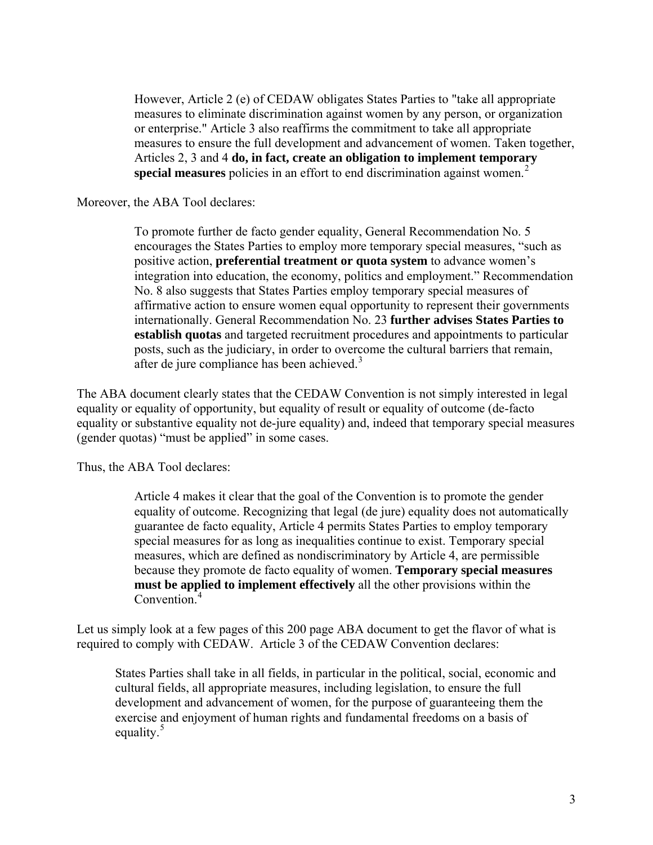However, Article 2 (e) of CEDAW obligates States Parties to "take all appropriate measures to eliminate discrimination against women by any person, or organization or enterprise." Article 3 also reaffirms the commitment to take all appropriate measures to ensure the full development and advancement of women. Taken together, Articles 2, 3 and 4 **do, in fact, create an obligation to implement temporary special measures** policies in an effort to end discrimination against women.<sup>[2](#page-10-1)</sup>

Moreover, the ABA Tool declares:

To promote further de facto gender equality, General Recommendation No. 5 encourages the States Parties to employ more temporary special measures, "such as positive action, **preferential treatment or quota system** to advance women's integration into education, the economy, politics and employment." Recommendation No. 8 also suggests that States Parties employ temporary special measures of affirmative action to ensure women equal opportunity to represent their governments internationally. General Recommendation No. 23 **further advises States Parties to establish quotas** and targeted recruitment procedures and appointments to particular posts, such as the judiciary, in order to overcome the cultural barriers that remain, after de jure compliance has been achieved.<sup>[3](#page-10-1)</sup>

The ABA document clearly states that the CEDAW Convention is not simply interested in legal equality or equality of opportunity, but equality of result or equality of outcome (de-facto equality or substantive equality not de-jure equality) and, indeed that temporary special measures (gender quotas) "must be applied" in some cases.

Thus, the ABA Tool declares:

Article 4 makes it clear that the goal of the Convention is to promote the gender equality of outcome. Recognizing that legal (de jure) equality does not automatically guarantee de facto equality, Article 4 permits States Parties to employ temporary special measures for as long as inequalities continue to exist. Temporary special measures, which are defined as nondiscriminatory by Article 4, are permissible because they promote de facto equality of women. **Temporary special measures must be applied to implement effectively** all the other provisions within the Convention.<sup>[4](#page-10-1)</sup>

Let us simply look at a few pages of this 200 page ABA document to get the flavor of what is required to comply with CEDAW. Article 3 of the CEDAW Convention declares:

States Parties shall take in all fields, in particular in the political, social, economic and cultural fields, all appropriate measures, including legislation, to ensure the full development and advancement of women, for the purpose of guaranteeing them the exercise and enjoyment of human rights and fundamental freedoms on a basis of equality.<sup>[5](#page-10-1)</sup>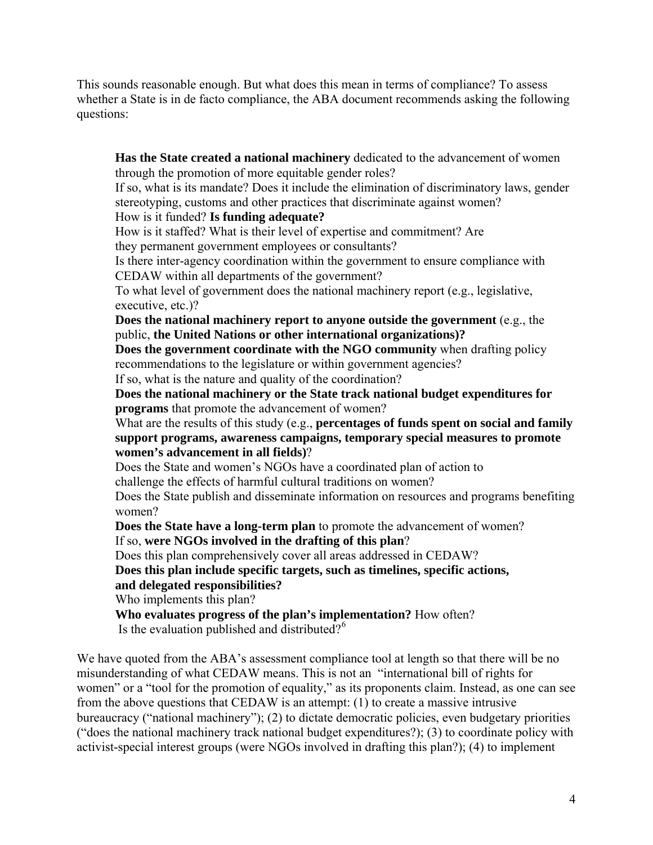This sounds reasonable enough. But what does this mean in terms of compliance? To assess whether a State is in de facto compliance, the ABA document recommends asking the following questions:

**Has the State created a national machinery** dedicated to the advancement of women through the promotion of more equitable gender roles? If so, what is its mandate? Does it include the elimination of discriminatory laws, gender stereotyping, customs and other practices that discriminate against women? How is it funded? **Is funding adequate?** How is it staffed? What is their level of expertise and commitment? Are they permanent government employees or consultants? Is there inter-agency coordination within the government to ensure compliance with CEDAW within all departments of the government? To what level of government does the national machinery report (e.g., legislative, executive, etc.)? **Does the national machinery report to anyone outside the government** (e.g., the public, **the United Nations or other international organizations)? Does the government coordinate with the NGO community** when drafting policy recommendations to the legislature or within government agencies? If so, what is the nature and quality of the coordination? **Does the national machinery or the State track national budget expenditures for programs** that promote the advancement of women? What are the results of this study (e.g., **percentages of funds spent on social and family support programs, awareness campaigns, temporary special measures to promote women's advancement in all fields)**? Does the State and women's NGOs have a coordinated plan of action to challenge the effects of harmful cultural traditions on women? Does the State publish and disseminate information on resources and programs benefiting women? **Does the State have a long-term plan** to promote the advancement of women? If so, **were NGOs involved in the drafting of this plan**? Does this plan comprehensively cover all areas addressed in CEDAW? **Does this plan include specific targets, such as timelines, specific actions, and delegated responsibilities?**  Who implements this plan? **Who evaluates progress of the plan's implementation?** How often? Is the evaluation published and distributed?<sup>[6](#page-10-1)</sup>

We have quoted from the ABA's assessment compliance tool at length so that there will be no misunderstanding of what CEDAW means. This is not an "international bill of rights for women" or a "tool for the promotion of equality," as its proponents claim. Instead, as one can see from the above questions that CEDAW is an attempt: (1) to create a massive intrusive bureaucracy ("national machinery"); (2) to dictate democratic policies, even budgetary priorities ("does the national machinery track national budget expenditures?); (3) to coordinate policy with activist-special interest groups (were NGOs involved in drafting this plan?); (4) to implement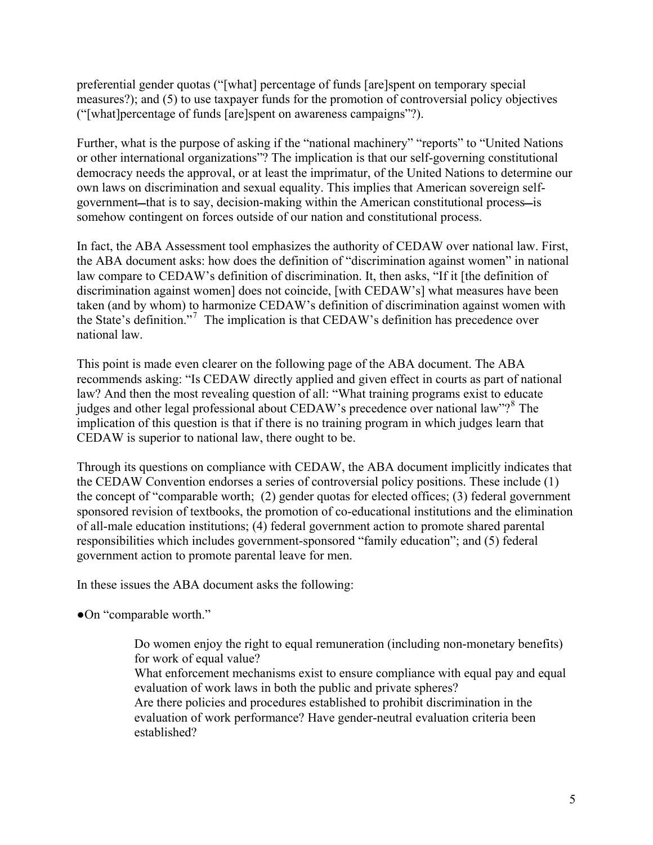preferential gender quotas ("[what] percentage of funds [are]spent on temporary special measures?); and (5) to use taxpayer funds for the promotion of controversial policy objectives ("[what]percentage of funds [are]spent on awareness campaigns"?).

Further, what is the purpose of asking if the "national machinery" "reports" to "United Nations or other international organizations"? The implication is that our self-governing constitutional democracy needs the approval, or at least the imprimatur, of the United Nations to determine our own laws on discrimination and sexual equality. This implies that American sovereign selfgovernment—that is to say, decision-making within the American constitutional process—is somehow contingent on forces outside of our nation and constitutional process.

In fact, the ABA Assessment tool emphasizes the authority of CEDAW over national law. First, the ABA document asks: how does the definition of "discrimination against women" in national law compare to CEDAW's definition of discrimination. It, then asks, "If it [the definition of discrimination against women] does not coincide, [with CEDAW's] what measures have been taken (and by whom) to harmonize CEDAW's definition of discrimination against women with the State's definition."[7](#page-10-1) The implication is that CEDAW's definition has precedence over national law.

This point is made even clearer on the following page of the ABA document. The ABA recommends asking: "Is CEDAW directly applied and given effect in courts as part of national law? And then the most revealing question of all: "What training programs exist to educate judges and other legal professional about CEDAW's precedence over national law"?<sup>[8](#page-10-1)</sup> The implication of this question is that if there is no training program in which judges learn that CEDAW is superior to national law, there ought to be.

Through its questions on compliance with CEDAW, the ABA document implicitly indicates that the CEDAW Convention endorses a series of controversial policy positions. These include (1) the concept of "comparable worth; (2) gender quotas for elected offices; (3) federal government sponsored revision of textbooks, the promotion of co-educational institutions and the elimination of all-male education institutions; (4) federal government action to promote shared parental responsibilities which includes government-sponsored "family education"; and (5) federal government action to promote parental leave for men.

In these issues the ABA document asks the following:

●On "comparable worth."

Do women enjoy the right to equal remuneration (including non-monetary benefits) for work of equal value?

What enforcement mechanisms exist to ensure compliance with equal pay and equal evaluation of work laws in both the public and private spheres?

Are there policies and procedures established to prohibit discrimination in the evaluation of work performance? Have gender-neutral evaluation criteria been established?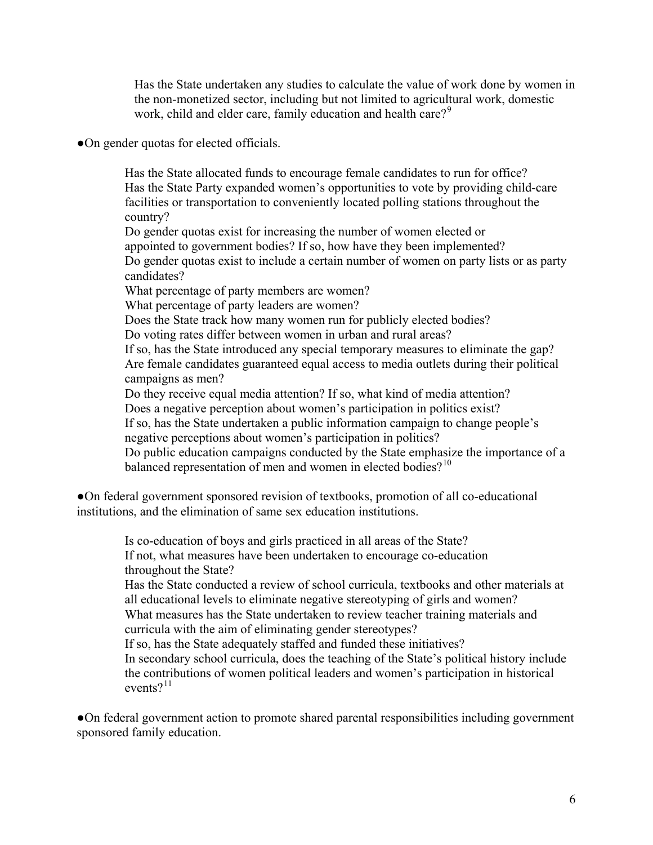Has the State undertaken any studies to calculate the value of work done by women in the non-monetized sector, including but not limited to agricultural work, domestic work, child and elder care, family education and health care?<sup>[9](#page-10-1)</sup>

### ●On gender quotas for elected officials.

Has the State allocated funds to encourage female candidates to run for office? Has the State Party expanded women's opportunities to vote by providing child-care facilities or transportation to conveniently located polling stations throughout the country?

Do gender quotas exist for increasing the number of women elected or

appointed to government bodies? If so, how have they been implemented?

Do gender quotas exist to include a certain number of women on party lists or as party candidates?

What percentage of party members are women?

What percentage of party leaders are women?

Does the State track how many women run for publicly elected bodies?

Do voting rates differ between women in urban and rural areas?

If so, has the State introduced any special temporary measures to eliminate the gap? Are female candidates guaranteed equal access to media outlets during their political campaigns as men?

Do they receive equal media attention? If so, what kind of media attention?

Does a negative perception about women's participation in politics exist?

If so, has the State undertaken a public information campaign to change people's negative perceptions about women's participation in politics?

Do public education campaigns conducted by the State emphasize the importance of a balanced representation of men and women in elected bodies?<sup>[10](#page-10-1)</sup>

●On federal government sponsored revision of textbooks, promotion of all co-educational institutions, and the elimination of same sex education institutions.

> Is co-education of boys and girls practiced in all areas of the State? If not, what measures have been undertaken to encourage co-education throughout the State?

Has the State conducted a review of school curricula, textbooks and other materials at all educational levels to eliminate negative stereotyping of girls and women? What measures has the State undertaken to review teacher training materials and curricula with the aim of eliminating gender stereotypes?

If so, has the State adequately staffed and funded these initiatives?

In secondary school curricula, does the teaching of the State's political history include the contributions of women political leaders and women's participation in historical events<sup> $2^{11}$  $2^{11}$  $2^{11}$ </sup>

●On federal government action to promote shared parental responsibilities including government sponsored family education.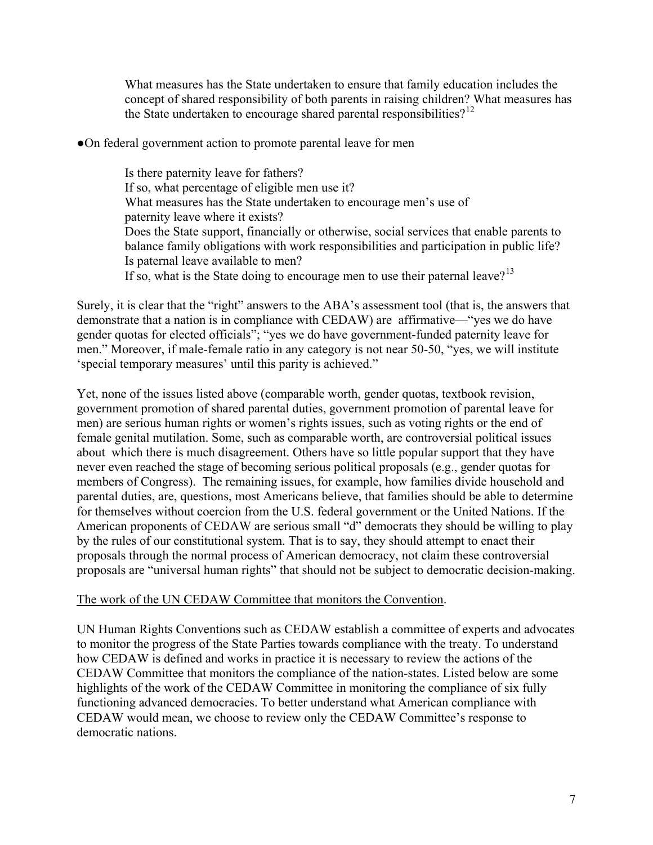What measures has the State undertaken to ensure that family education includes the concept of shared responsibility of both parents in raising children? What measures has the State undertaken to encourage shared parental responsibilities?<sup>[12](#page-10-1)</sup>

#### ●On federal government action to promote parental leave for men

Is there paternity leave for fathers? If so, what percentage of eligible men use it? What measures has the State undertaken to encourage men's use of paternity leave where it exists? Does the State support, financially or otherwise, social services that enable parents to balance family obligations with work responsibilities and participation in public life? Is paternal leave available to men? If so, what is the State doing to encourage men to use their paternal leave?<sup>[13](#page-10-1)</sup>

Surely, it is clear that the "right" answers to the ABA's assessment tool (that is, the answers that demonstrate that a nation is in compliance with CEDAW) are affirmative—"yes we do have gender quotas for elected officials"; "yes we do have government-funded paternity leave for men." Moreover, if male-female ratio in any category is not near 50-50, "yes, we will institute 'special temporary measures' until this parity is achieved."

Yet, none of the issues listed above (comparable worth, gender quotas, textbook revision, government promotion of shared parental duties, government promotion of parental leave for men) are serious human rights or women's rights issues, such as voting rights or the end of female genital mutilation. Some, such as comparable worth, are controversial political issues about which there is much disagreement. Others have so little popular support that they have never even reached the stage of becoming serious political proposals (e.g., gender quotas for members of Congress). The remaining issues, for example, how families divide household and parental duties, are, questions, most Americans believe, that families should be able to determine for themselves without coercion from the U.S. federal government or the United Nations. If the American proponents of CEDAW are serious small "d" democrats they should be willing to play by the rules of our constitutional system. That is to say, they should attempt to enact their proposals through the normal process of American democracy, not claim these controversial proposals are "universal human rights" that should not be subject to democratic decision-making.

#### The work of the UN CEDAW Committee that monitors the Convention.

UN Human Rights Conventions such as CEDAW establish a committee of experts and advocates to monitor the progress of the State Parties towards compliance with the treaty. To understand how CEDAW is defined and works in practice it is necessary to review the actions of the CEDAW Committee that monitors the compliance of the nation-states. Listed below are some highlights of the work of the CEDAW Committee in monitoring the compliance of six fully functioning advanced democracies. To better understand what American compliance with CEDAW would mean, we choose to review only the CEDAW Committee's response to democratic nations.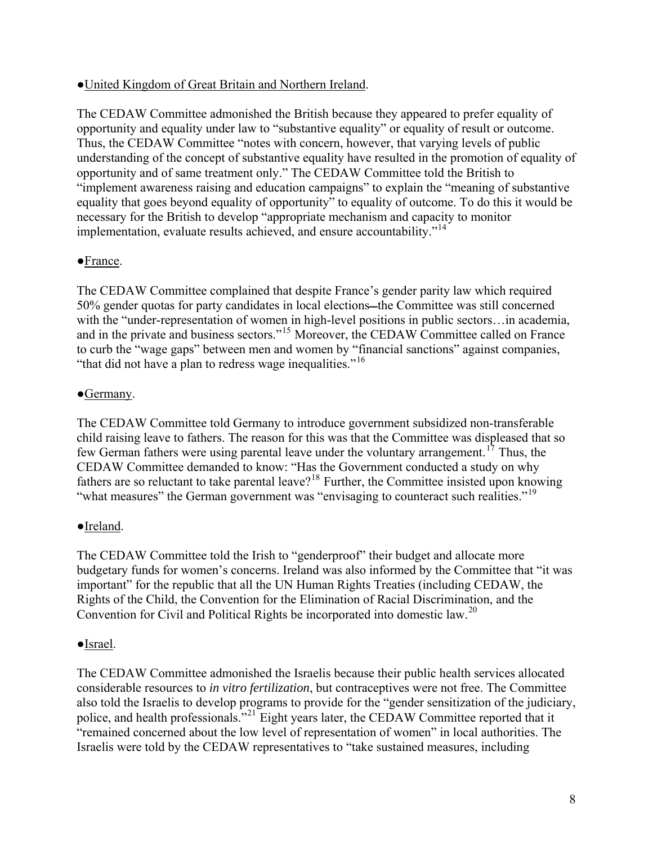### ●United Kingdom of Great Britain and Northern Ireland.

The CEDAW Committee admonished the British because they appeared to prefer equality of opportunity and equality under law to "substantive equality" or equality of result or outcome. Thus, the CEDAW Committee "notes with concern, however, that varying levels of public understanding of the concept of substantive equality have resulted in the promotion of equality of opportunity and of same treatment only." The CEDAW Committee told the British to "implement awareness raising and education campaigns" to explain the "meaning of substantive equality that goes beyond equality of opportunity" to equality of outcome. To do this it would be necessary for the British to develop "appropriate mechanism and capacity to monitor implementation, evaluate results achieved, and ensure accountability."[14](#page-10-1)

# ●France.

The CEDAW Committee complained that despite France's gender parity law which required 50% gender quotas for party candidates in local elections—the Committee was still concerned with the "under-representation of women in high-level positions in public sectors...in academia, and in the private and business sectors."[15](#page-10-1) Moreover, the CEDAW Committee called on France to curb the "wage gaps" between men and women by "financial sanctions" against companies, "that did not have a plan to redress wage inequalities."<sup>[16](#page-10-1)</sup>

# ●Germany.

The CEDAW Committee told Germany to introduce government subsidized non-transferable child raising leave to fathers. The reason for this was that the Committee was displeased that so few German fathers were using parental leave under the voluntary arrangement.<sup>[17](#page-10-1)</sup> Thus, the CEDAW Committee demanded to know: "Has the Government conducted a study on why fathers are so reluctant to take parental leave?<sup>[18](#page-10-1)</sup> Further, the Committee insisted upon knowing "what measures" the German government was "envisaging to counteract such realities."<sup>[19](#page-10-1)</sup>

# ●Ireland.

The CEDAW Committee told the Irish to "genderproof" their budget and allocate more budgetary funds for women's concerns. Ireland was also informed by the Committee that "it was important" for the republic that all the UN Human Rights Treaties (including CEDAW, the Rights of the Child, the Convention for the Elimination of Racial Discrimination, and the Convention for Civil and Political Rights be incorporated into domestic law.<sup>[20](#page-10-1)</sup>

### ●Israel.

The CEDAW Committee admonished the Israelis because their public health services allocated considerable resources to *in vitro fertilization*, but contraceptives were not free. The Committee also told the Israelis to develop programs to provide for the "gender sensitization of the judiciary, police, and health professionals."[21](#page-10-1) Eight years later, the CEDAW Committee reported that it "remained concerned about the low level of representation of women" in local authorities. The Israelis were told by the CEDAW representatives to "take sustained measures, including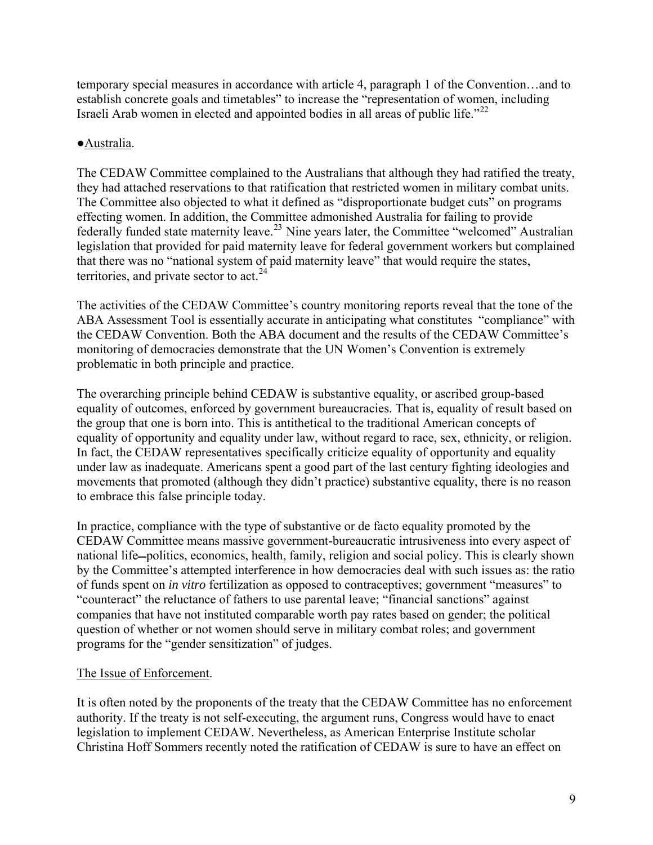temporary special measures in accordance with article 4, paragraph 1 of the Convention…and to establish concrete goals and timetables" to increase the "representation of women, including Israeli Arab women in elected and appointed bodies in all areas of public life."[22](#page-10-1)

## ●Australia.

The CEDAW Committee complained to the Australians that although they had ratified the treaty, they had attached reservations to that ratification that restricted women in military combat units. The Committee also objected to what it defined as "disproportionate budget cuts" on programs effecting women. In addition, the Committee admonished Australia for failing to provide federally funded state maternity leave.<sup>[23](#page-10-1)</sup> Nine years later, the Committee "welcomed" Australian legislation that provided for paid maternity leave for federal government workers but complained that there was no "national system of paid maternity leave" that would require the states, territories, and private sector to act.<sup>[24](#page-10-1)</sup>

The activities of the CEDAW Committee's country monitoring reports reveal that the tone of the ABA Assessment Tool is essentially accurate in anticipating what constitutes "compliance" with the CEDAW Convention. Both the ABA document and the results of the CEDAW Committee's monitoring of democracies demonstrate that the UN Women's Convention is extremely problematic in both principle and practice.

The overarching principle behind CEDAW is substantive equality, or ascribed group-based equality of outcomes, enforced by government bureaucracies. That is, equality of result based on the group that one is born into. This is antithetical to the traditional American concepts of equality of opportunity and equality under law, without regard to race, sex, ethnicity, or religion. In fact, the CEDAW representatives specifically criticize equality of opportunity and equality under law as inadequate. Americans spent a good part of the last century fighting ideologies and movements that promoted (although they didn't practice) substantive equality, there is no reason to embrace this false principle today.

In practice, compliance with the type of substantive or de facto equality promoted by the CEDAW Committee means massive government-bureaucratic intrusiveness into every aspect of national life-politics, economics, health, family, religion and social policy. This is clearly shown by the Committee's attempted interference in how democracies deal with such issues as: the ratio of funds spent on *in vitro* fertilization as opposed to contraceptives; government "measures" to "counteract" the reluctance of fathers to use parental leave; "financial sanctions" against companies that have not instituted comparable worth pay rates based on gender; the political question of whether or not women should serve in military combat roles; and government programs for the "gender sensitization" of judges.

### The Issue of Enforcement.

It is often noted by the proponents of the treaty that the CEDAW Committee has no enforcement authority. If the treaty is not self-executing, the argument runs, Congress would have to enact legislation to implement CEDAW. Nevertheless, as American Enterprise Institute scholar Christina Hoff Sommers recently noted the ratification of CEDAW is sure to have an effect on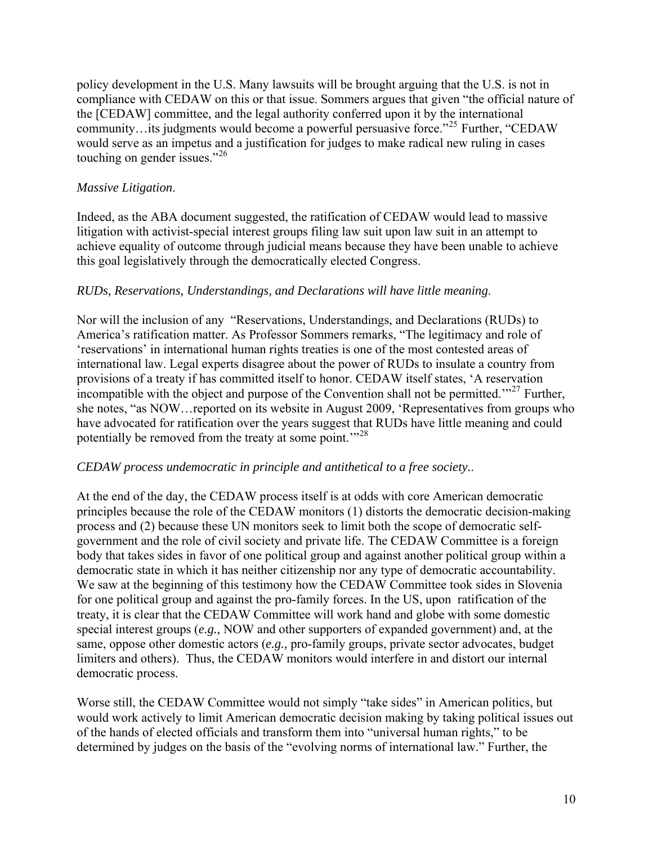policy development in the U.S. Many lawsuits will be brought arguing that the U.S. is not in compliance with CEDAW on this or that issue. Sommers argues that given "the official nature of the [CEDAW] committee, and the legal authority conferred upon it by the international community…its judgments would become a powerful persuasive force.<sup> $25$ </sup> Further, "CEDAW" would serve as an impetus and a justification for judges to make radical new ruling in cases touching on gender issues."[26](#page-10-1)

## *Massive Litigation*.

Indeed, as the ABA document suggested, the ratification of CEDAW would lead to massive litigation with activist-special interest groups filing law suit upon law suit in an attempt to achieve equality of outcome through judicial means because they have been unable to achieve this goal legislatively through the democratically elected Congress.

### *RUDs, Reservations, Understandings, and Declarations will have little meaning*.

Nor will the inclusion of any "Reservations, Understandings, and Declarations (RUDs) to America's ratification matter. As Professor Sommers remarks, "The legitimacy and role of 'reservations' in international human rights treaties is one of the most contested areas of international law. Legal experts disagree about the power of RUDs to insulate a country from provisions of a treaty if has committed itself to honor. CEDAW itself states, 'A reservation incompatible with the object and purpose of the Convention shall not be permitted. $1^{27}$  $1^{27}$  $1^{27}$  Further, she notes, "as NOW…reported on its website in August 2009, 'Representatives from groups who have advocated for ratification over the years suggest that RUDs have little meaning and could potentially be removed from the treaty at some point.<sup>"[28](#page-10-1)</sup>

#### *CEDAW process undemocratic in principle and antithetical to a free society.*.

At the end of the day, the CEDAW process itself is at odds with core American democratic principles because the role of the CEDAW monitors (1) distorts the democratic decision-making process and (2) because these UN monitors seek to limit both the scope of democratic selfgovernment and the role of civil society and private life. The CEDAW Committee is a foreign body that takes sides in favor of one political group and against another political group within a democratic state in which it has neither citizenship nor any type of democratic accountability. We saw at the beginning of this testimony how the CEDAW Committee took sides in Slovenia for one political group and against the pro-family forces. In the US, upon ratification of the treaty, it is clear that the CEDAW Committee will work hand and globe with some domestic special interest groups (*e.g.,* NOW and other supporters of expanded government) and, at the same, oppose other domestic actors (*e.g.,* pro-family groups, private sector advocates, budget limiters and others). Thus, the CEDAW monitors would interfere in and distort our internal democratic process.

Worse still, the CEDAW Committee would not simply "take sides" in American politics, but would work actively to limit American democratic decision making by taking political issues out of the hands of elected officials and transform them into "universal human rights," to be determined by judges on the basis of the "evolving norms of international law." Further, the